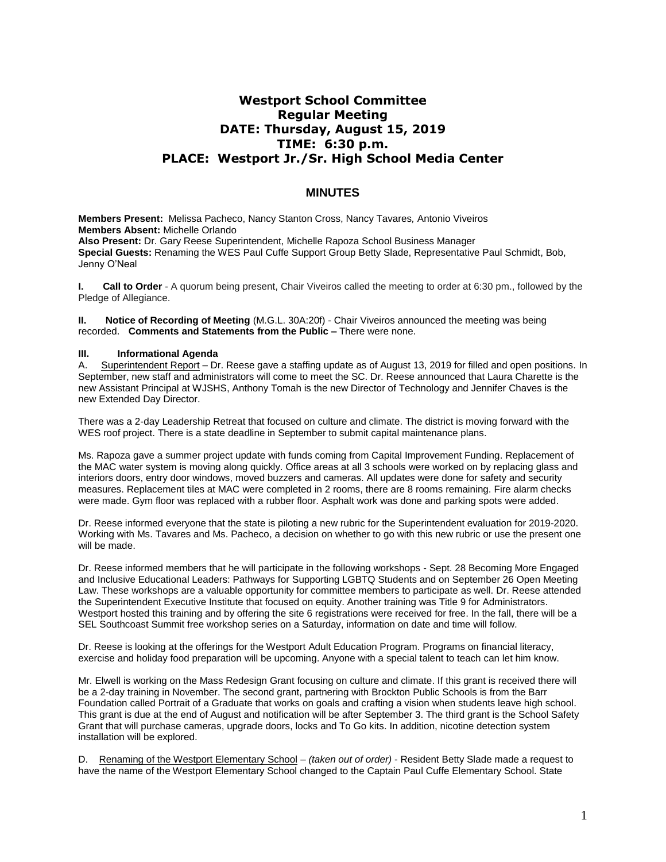# **Westport School Committee Regular Meeting DATE: Thursday, August 15, 2019 TIME: 6:30 p.m. PLACE: Westport Jr./Sr. High School Media Center**

## **MINUTES**

**Members Present:** Melissa Pacheco, Nancy Stanton Cross, Nancy Tavares*,* Antonio Viveiros **Members Absent:** Michelle Orlando **Also Present:** Dr. Gary Reese Superintendent, Michelle Rapoza School Business Manager **Special Guests:** Renaming the WES Paul Cuffe Support Group Betty Slade, Representative Paul Schmidt, Bob, Jenny O'Neal

**I. Call to Order** - A quorum being present, Chair Viveiros called the meeting to order at 6:30 pm., followed by the Pledge of Allegiance.

**II. Notice of Recording of Meeting** (M.G.L. 30A:20f) - Chair Viveiros announced the meeting was being recorded. **Comments and Statements from the Public –** There were none.

### **III. Informational Agenda**

A. Superintendent Report – Dr. Reese gave a staffing update as of August 13, 2019 for filled and open positions. In September, new staff and administrators will come to meet the SC. Dr. Reese announced that Laura Charette is the new Assistant Principal at WJSHS, Anthony Tomah is the new Director of Technology and Jennifer Chaves is the new Extended Day Director.

There was a 2-day Leadership Retreat that focused on culture and climate. The district is moving forward with the WES roof project. There is a state deadline in September to submit capital maintenance plans.

Ms. Rapoza gave a summer project update with funds coming from Capital Improvement Funding. Replacement of the MAC water system is moving along quickly. Office areas at all 3 schools were worked on by replacing glass and interiors doors, entry door windows, moved buzzers and cameras. All updates were done for safety and security measures. Replacement tiles at MAC were completed in 2 rooms, there are 8 rooms remaining. Fire alarm checks were made. Gym floor was replaced with a rubber floor. Asphalt work was done and parking spots were added.

Dr. Reese informed everyone that the state is piloting a new rubric for the Superintendent evaluation for 2019-2020. Working with Ms. Tavares and Ms. Pacheco, a decision on whether to go with this new rubric or use the present one will be made.

Dr. Reese informed members that he will participate in the following workshops - Sept. 28 Becoming More Engaged and Inclusive Educational Leaders: Pathways for Supporting LGBTQ Students and on September 26 Open Meeting Law. These workshops are a valuable opportunity for committee members to participate as well. Dr. Reese attended the Superintendent Executive Institute that focused on equity. Another training was Title 9 for Administrators. Westport hosted this training and by offering the site 6 registrations were received for free. In the fall, there will be a SEL Southcoast Summit free workshop series on a Saturday, information on date and time will follow.

Dr. Reese is looking at the offerings for the Westport Adult Education Program. Programs on financial literacy, exercise and holiday food preparation will be upcoming. Anyone with a special talent to teach can let him know.

Mr. Elwell is working on the Mass Redesign Grant focusing on culture and climate. If this grant is received there will be a 2-day training in November. The second grant, partnering with Brockton Public Schools is from the Barr Foundation called Portrait of a Graduate that works on goals and crafting a vision when students leave high school. This grant is due at the end of August and notification will be after September 3. The third grant is the School Safety Grant that will purchase cameras, upgrade doors, locks and To Go kits. In addition, nicotine detection system installation will be explored.

D. Renaming of the Westport Elementary School – *(taken out of order)* - Resident Betty Slade made a request to have the name of the Westport Elementary School changed to the Captain Paul Cuffe Elementary School. State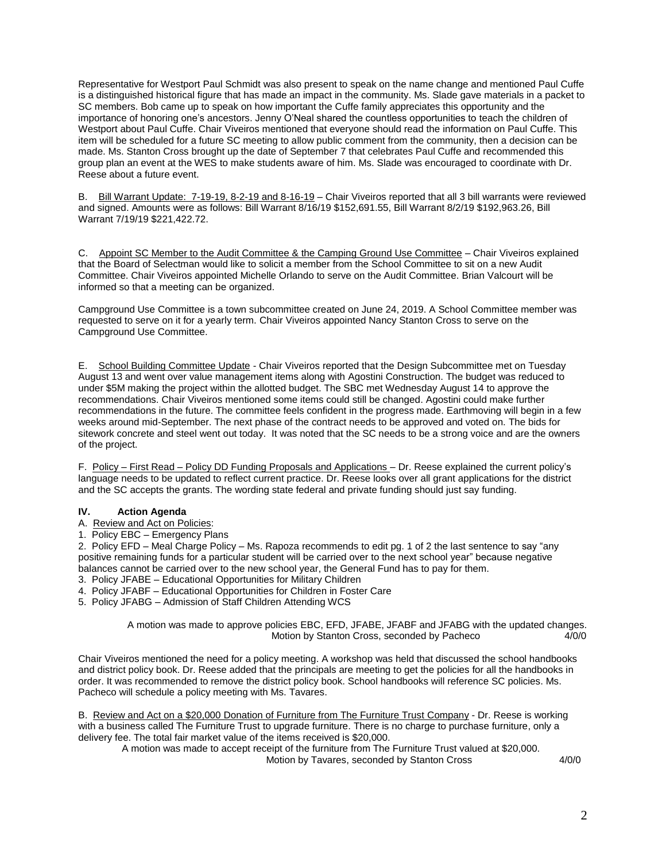Representative for Westport Paul Schmidt was also present to speak on the name change and mentioned Paul Cuffe is a distinguished historical figure that has made an impact in the community. Ms. Slade gave materials in a packet to SC members. Bob came up to speak on how important the Cuffe family appreciates this opportunity and the importance of honoring one's ancestors. Jenny O'Neal shared the countless opportunities to teach the children of Westport about Paul Cuffe. Chair Viveiros mentioned that everyone should read the information on Paul Cuffe. This item will be scheduled for a future SC meeting to allow public comment from the community, then a decision can be made. Ms. Stanton Cross brought up the date of September 7 that celebrates Paul Cuffe and recommended this group plan an event at the WES to make students aware of him. Ms. Slade was encouraged to coordinate with Dr. Reese about a future event.

B. Bill Warrant Update: 7-19-19, 8-2-19 and 8-16-19 – Chair Viveiros reported that all 3 bill warrants were reviewed and signed. Amounts were as follows: Bill Warrant 8/16/19 \$152,691.55, Bill Warrant 8/2/19 \$192,963.26, Bill Warrant 7/19/19 \$221,422.72.

C. Appoint SC Member to the Audit Committee & the Camping Ground Use Committee – Chair Viveiros explained that the Board of Selectman would like to solicit a member from the School Committee to sit on a new Audit Committee. Chair Viveiros appointed Michelle Orlando to serve on the Audit Committee. Brian Valcourt will be informed so that a meeting can be organized.

Campground Use Committee is a town subcommittee created on June 24, 2019. A School Committee member was requested to serve on it for a yearly term. Chair Viveiros appointed Nancy Stanton Cross to serve on the Campground Use Committee.

E. School Building Committee Update - Chair Viveiros reported that the Design Subcommittee met on Tuesday August 13 and went over value management items along with Agostini Construction. The budget was reduced to under \$5M making the project within the allotted budget. The SBC met Wednesday August 14 to approve the recommendations. Chair Viveiros mentioned some items could still be changed. Agostini could make further recommendations in the future. The committee feels confident in the progress made. Earthmoving will begin in a few weeks around mid-September. The next phase of the contract needs to be approved and voted on. The bids for sitework concrete and steel went out today. It was noted that the SC needs to be a strong voice and are the owners of the project.

F. Policy - First Read - Policy DD Funding Proposals and Applications - Dr. Reese explained the current policy's language needs to be updated to reflect current practice. Dr. Reese looks over all grant applications for the district and the SC accepts the grants. The wording state federal and private funding should just say funding.

### **IV. Action Agenda**

- A. Review and Act on Policies:
- 1. Policy EBC Emergency Plans

2. Policy EFD – Meal Charge Policy – Ms. Rapoza recommends to edit pg. 1 of 2 the last sentence to say "any positive remaining funds for a particular student will be carried over to the next school year" because negative balances cannot be carried over to the new school year, the General Fund has to pay for them.

- 3. Policy JFABE Educational Opportunities for Military Children
- 4. Policy JFABF Educational Opportunities for Children in Foster Care
- 5. Policy JFABG Admission of Staff Children Attending WCS

 A motion was made to approve policies EBC, EFD, JFABE, JFABF and JFABG with the updated changes. Motion by Stanton Cross, seconded by Pacheco 4/0/0

Chair Viveiros mentioned the need for a policy meeting. A workshop was held that discussed the school handbooks and district policy book. Dr. Reese added that the principals are meeting to get the policies for all the handbooks in order. It was recommended to remove the district policy book. School handbooks will reference SC policies. Ms. Pacheco will schedule a policy meeting with Ms. Tavares.

B. Review and Act on a \$20,000 Donation of Furniture from The Furniture Trust Company - Dr. Reese is working with a business called The Furniture Trust to upgrade furniture. There is no charge to purchase furniture, only a delivery fee. The total fair market value of the items received is \$20,000.

A motion was made to accept receipt of the furniture from The Furniture Trust valued at \$20,000.

Motion by Tavares, seconded by Stanton Cross 4/0/0